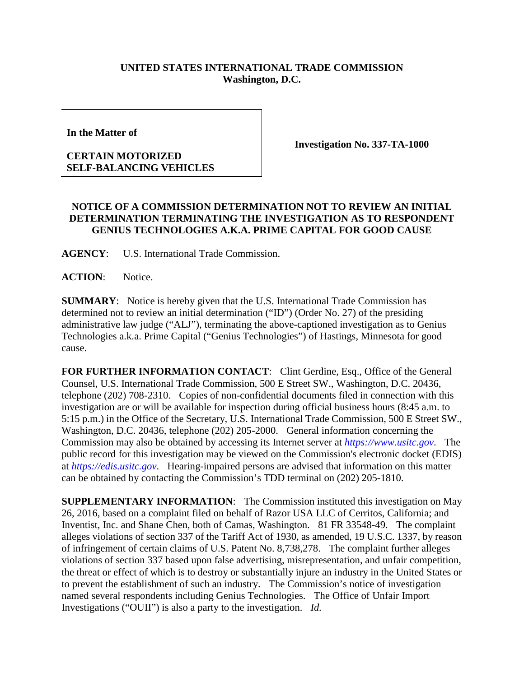## **UNITED STATES INTERNATIONAL TRADE COMMISSION Washington, D.C.**

**In the Matter of** 

## **CERTAIN MOTORIZED SELF-BALANCING VEHICLES**

**Investigation No. 337-TA-1000**

## **NOTICE OF A COMMISSION DETERMINATION NOT TO REVIEW AN INITIAL DETERMINATION TERMINATING THE INVESTIGATION AS TO RESPONDENT GENIUS TECHNOLOGIES A.K.A. PRIME CAPITAL FOR GOOD CAUSE**

**AGENCY**: U.S. International Trade Commission.

**ACTION**: Notice.

**SUMMARY**: Notice is hereby given that the U.S. International Trade Commission has determined not to review an initial determination ("ID") (Order No. 27) of the presiding administrative law judge ("ALJ"), terminating the above-captioned investigation as to Genius Technologies a.k.a. Prime Capital ("Genius Technologies") of Hastings, Minnesota for good cause.

FOR FURTHER INFORMATION CONTACT: Clint Gerdine, Esq., Office of the General Counsel, U.S. International Trade Commission, 500 E Street SW., Washington, D.C. 20436, telephone (202) 708-2310. Copies of non-confidential documents filed in connection with this investigation are or will be available for inspection during official business hours (8:45 a.m. to 5:15 p.m.) in the Office of the Secretary, U.S. International Trade Commission, 500 E Street SW., Washington, D.C. 20436, telephone (202) 205-2000. General information concerning the Commission may also be obtained by accessing its Internet server at *[https://www.usitc.gov](https://www.usitc.gov/)*. The public record for this investigation may be viewed on the Commission's electronic docket (EDIS) at *[https://edis.usitc.gov](https://edis.usitc.gov/)*. Hearing-impaired persons are advised that information on this matter can be obtained by contacting the Commission's TDD terminal on (202) 205-1810.

**SUPPLEMENTARY INFORMATION**: The Commission instituted this investigation on May 26, 2016, based on a complaint filed on behalf of Razor USA LLC of Cerritos, California; and Inventist, Inc. and Shane Chen, both of Camas, Washington. 81 FR 33548-49. The complaint alleges violations of section 337 of the Tariff Act of 1930, as amended, 19 U.S.C. 1337, by reason of infringement of certain claims of U.S. Patent No. 8,738,278. The complaint further alleges violations of section 337 based upon false advertising, misrepresentation, and unfair competition, the threat or effect of which is to destroy or substantially injure an industry in the United States or to prevent the establishment of such an industry. The Commission's notice of investigation named several respondents including Genius Technologies. The Office of Unfair Import Investigations ("OUII") is also a party to the investigation. *Id.*